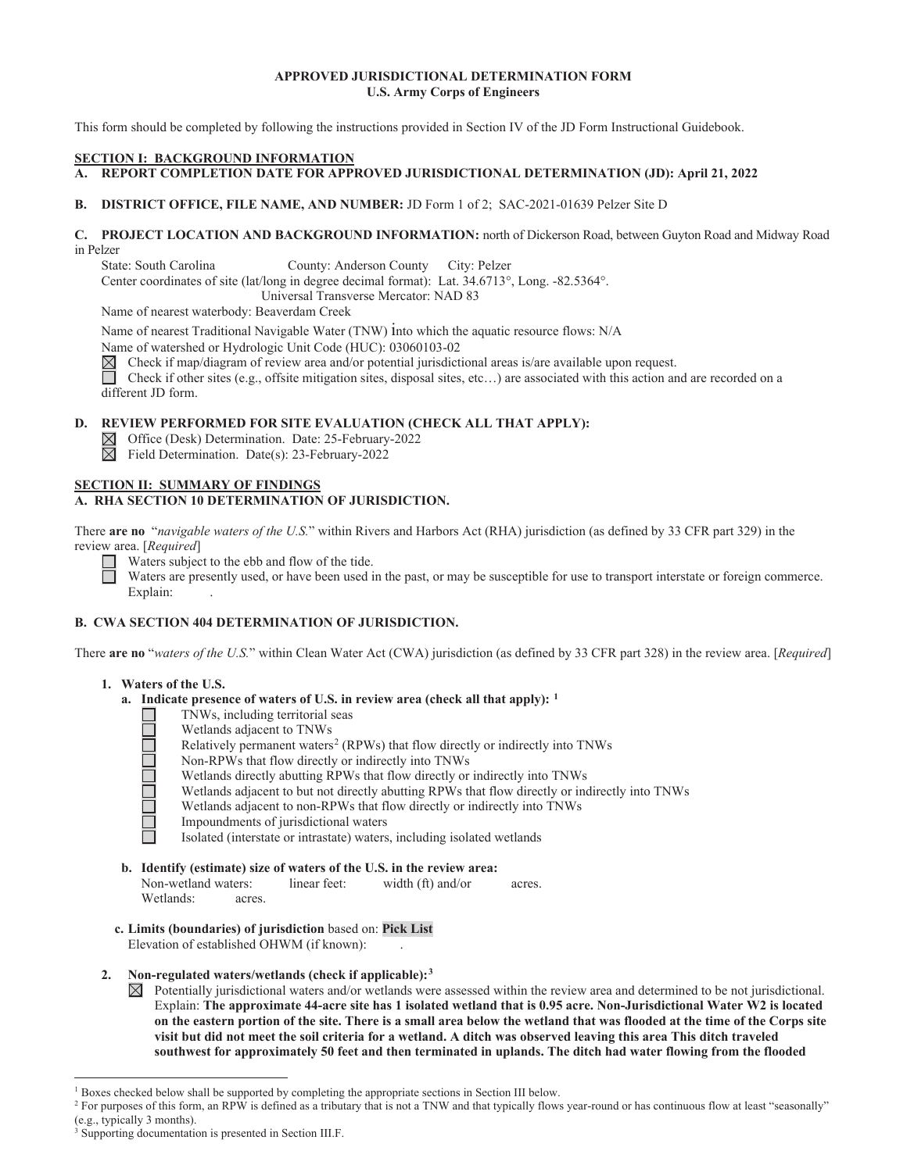### **APPROVED JURISDICTIONAL DETERMINATION FORM U.S. Army Corps of Engineers**

This form should be completed by following the instructions provided in Section IV of the JD Form Instructional Guidebook.

### **SECTION I: BACKGROUND INFORMATION**

A. REPORT COMPLETION DATE FOR APPROVED JURISDICTIONAL DETERMINATION (JD): April 21, 2022

#### **B**. **DISTRICT OFFICE, FILE NAME, AND NUMBER:** JD Form 1 of 2; SAC-2021-01639 Pelzer Site D

### **C. PROJECT LOCATION AND BACKGROUND INFORMATION:** north of Dickerson Road, between Guyton Road and Midway Road in Pelzer

State: South Carolina County: Anderson County City: Pelzer

Center coordinates of site (lat/long in degree decimal format): Lat. 34.6713°, Long. -82.5364°.

Universal Transverse Mercator: NAD 83

Name of nearest waterbody: Beaverdam Creek

Name of nearest Traditional Navigable Water (TNW) into which the aquatic resource flows: N/A

Name of watershed or Hydrologic Unit Code (HUC): 03060103-02

 $\boxtimes$ Check if map/diagram of review area and/or potential jurisdictional areas is/are available upon request.

 different JD form. Check if other sites (e.g., offsite mitigation sites, disposal sites, etc...) are associated with this action and are recorded on a

### **D. REVIEW PERFORMED FOR SITE EVALUATION (CHECK ALL THAT APPLY):**

 $\boxtimes$  Office (Desk) Determination. Date: 25-February-2022<br>  $\boxtimes$  Field Determination. Date(s): 23-February-2022

Field Determination. Date(s): 23-February-2022

#### **SECTION II: SUMMARY OF FINDINGS A. RHA SECTION 10 DETERMINATION OF JURISDICTION.**

There **are no** "*navigable waters of the U.S.*" within Rivers and Harbors Act (RHA) jurisdiction (as defined by 33 CFR part 329) in the review area. [*Required*]

Waters subject to the ebb and flow of the tide.

Explain: . Waters are presently used, or have been used in the past, or may be susceptible for use to transport interstate or foreign commerce.

# **B. CWA SECTION 404 DETERMINATION OF JURISDICTION.**

There **are no** "*waters of the U.S.*" within Clean Water Act (CWA) jurisdiction (as defined by 33 CFR part 328) in the review area. [*Required*]

### **1. Waters of the U.S.**

 $\Box$ 

- **a. Indicate presence of waters of U.S. in review area (check all that apply): 1** 
	- TNWs, including territorial seas
	- Wetlands adjacent to TNWs
	- Relatively permanent waters<sup>2</sup> (RPWs) that flow directly or indirectly into TNWs
	- Non-RPWs that flow directly or indirectly into TNWs
	- Wetlands directly abutting RPWs that flow directly or indirectly into TNWs
	- Wetlands adjacent to but not directly abutting RPWs that flow directly or indirectly into TNWs
	- Wetlands adjacent to non-RPWs that flow directly or indirectly into TNWs
	- Impoundments of jurisdictional waters
	- Isolated (interstate or intrastate) waters, including isolated wetlands
- **b. Identify (estimate) size of waters of the U.S. in the review area:**  Non-wetland waters: linear feet: width (ft) and/or acres. Wetlands: acres.
- **c. Limits (boundaries) of jurisdiction** based on: **Pick List** Elevation of established OHWM (if known):

### **2. Non-regulated waters/wetlands (check if applicable):3**

 $\boxtimes$  Potentially jurisdictional waters and/or wetlands were assessed within the review area and determined to be not jurisdictional. Explain: **The approximate 44-acre site has 1 isolated wetland that is 0.95 acre. Non-Jurisdictional Water W2 is located on the eastern portion of the site. There is a small area below the wetland that was flooded at the time of the Corps site visit but did not meet the soil criteria for a wetland. A ditch was observed leaving this area This ditch traveled southwest for approximately 50 feet and then terminated in uplands. The ditch had water flowing from the flooded** 

<sup>&</sup>lt;sup>1</sup> Boxes checked below shall be supported by completing the appropriate sections in Section III below.<br><sup>2</sup> For purposes of this form an PPW is defined as a tributory that is not a TNW and that tunically flows

<sup>&</sup>lt;sup>2</sup> For purposes of this form, an RPW is defined as a tributary that is not a TNW and that typically flows year-round or has continuous flow at least "seasonally" (e.g., typically 3 months).

<sup>3</sup> Supporting documentation is presented in Section III.F.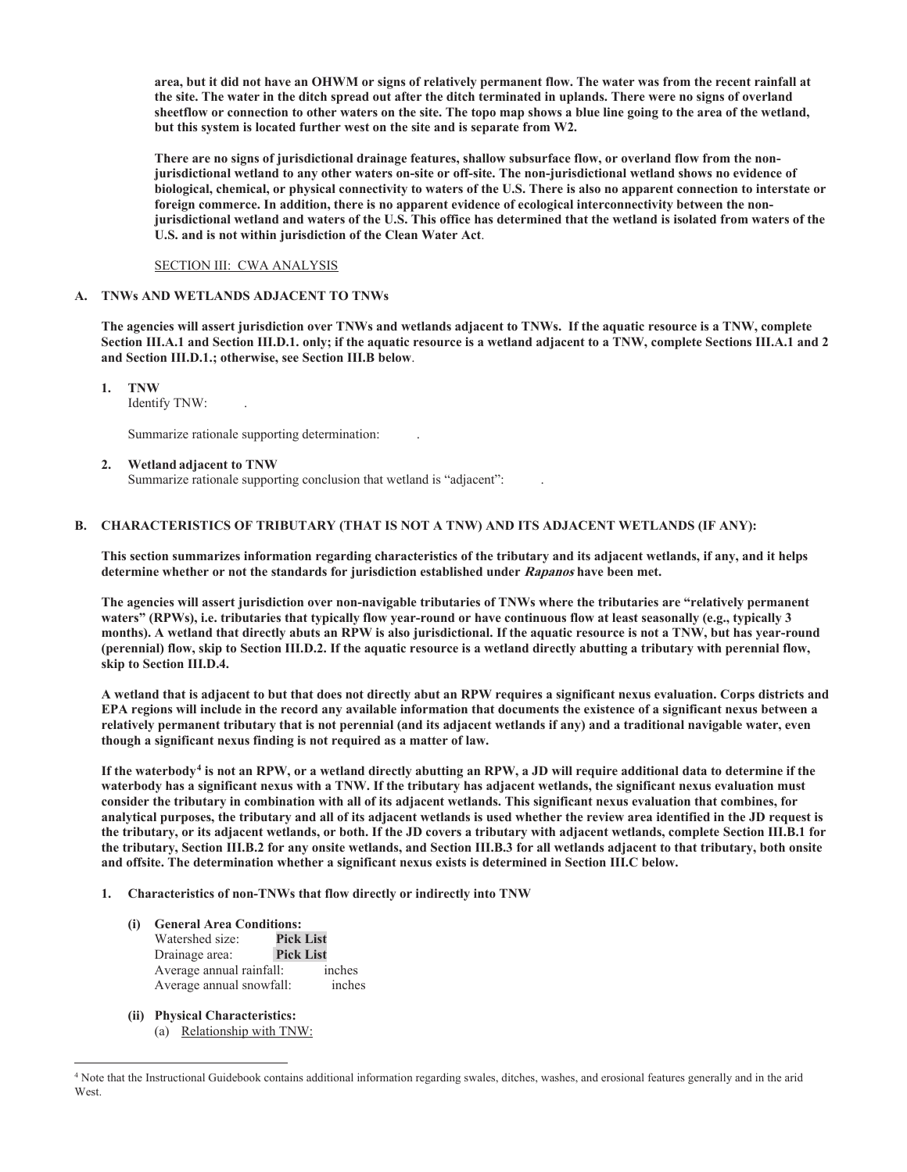**area, but it did not have an OHWM or signs of relatively permanent flow. The water was from the recent rainfall at the site. The water in the ditch spread out after the ditch terminated in uplands. There were no signs of overland sheetflow or connection to other waters on the site. The topo map shows a blue line going to the area of the wetland, but this system is located further west on the site and is separate from W2.** 

**There are no signs of jurisdictional drainage features, shallow subsurface flow, or overland flow from the nonjurisdictional wetland to any other waters on-site or off-site. The non-jurisdictional wetland shows no evidence of biological, chemical, or physical connectivity to waters of the U.S. There is also no apparent connection to interstate or foreign commerce. In addition, there is no apparent evidence of ecological interconnectivity between the nonjurisdictional wetland and waters of the U.S. This office has determined that the wetland is isolated from waters of the U.S. and is not within jurisdiction of the Clean Water Act**.

#### SECTION III: CWA ANALYSIS

#### **A. TNWs AND WETLANDS ADJACENT TO TNWs**

 **and Section III.D.1.; otherwise, see Section III.B below**. **The agencies will assert jurisdiction over TNWs and wetlands adjacent to TNWs. If the aquatic resource is a TNW, complete Section III.A.1 and Section III.D.1. only; if the aquatic resource is a wetland adjacent to a TNW, complete Sections III.A.1 and 2** 

**1. TNW** 

Identify TNW: .

Summarize rationale supporting determination: .

**2. Wetland adjacent to TNW**  Summarize rationale supporting conclusion that wetland is "adjacent": .

#### **B. CHARACTERISTICS OF TRIBUTARY (THAT IS NOT A TNW) AND ITS ADJACENT WETLANDS (IF ANY):**

**This section summarizes information regarding characteristics of the tributary and its adjacent wetlands, if any, and it helps determine whether or not the standards for jurisdiction established under Rapanos have been met.** 

skip to Section III.D.4. **The agencies will assert jurisdiction over non-navigable tributaries of TNWs where the tributaries are "relatively permanent waters" (RPWs), i.e. tributaries that typically flow year-round or have continuous flow at least seasonally (e.g., typically 3 months). A wetland that directly abuts an RPW is also jurisdictional. If the aquatic resource is not a TNW, but has year-round (perennial) flow, skip to Section III.D.2. If the aquatic resource is a wetland directly abutting a tributary with perennial flow,** 

**skip to Section III.D.4. A wetland that is adjacent to but that does not directly abut an RPW requires a significant nexus evaluation. Corps districts and EPA regions will include in the record any available information that documents the existence of a significant nexus between a relatively permanent tributary that is not perennial (and its adjacent wetlands if any) and a traditional navigable water, even though a significant nexus finding is not required as a matter of law.** 

 **and offsite. The determination whether a significant nexus exists is determined in Section III.C below. If the waterbody4 is not an RPW, or a wetland directly abutting an RPW, a JD will require additional data to determine if the waterbody has a significant nexus with a TNW. If the tributary has adjacent wetlands, the significant nexus evaluation must consider the tributary in combination with all of its adjacent wetlands. This significant nexus evaluation that combines, for analytical purposes, the tributary and all of its adjacent wetlands is used whether the review area identified in the JD request is the tributary, or its adjacent wetlands, or both. If the JD covers a tributary with adjacent wetlands, complete Section III.B.1 for the tributary, Section III.B.2 for any onsite wetlands, and Section III.B.3 for all wetlands adjacent to that tributary, both onsite** 

- **1. Characteristics of non-TNWs that flow directly or indirectly into TNW** 
	- **(i) General Area Conditions:**  Watershed size: **Pick List**  Drainage area: **Pick List**  Average annual rainfall: inches Average annual snowfall: inches
	- **(ii) Physical Characteristics:** (a) Relationship with TNW:

<sup>4</sup> Note that the Instructional Guidebook contains additional information regarding swales, ditches, washes, and erosional features generally and in the arid West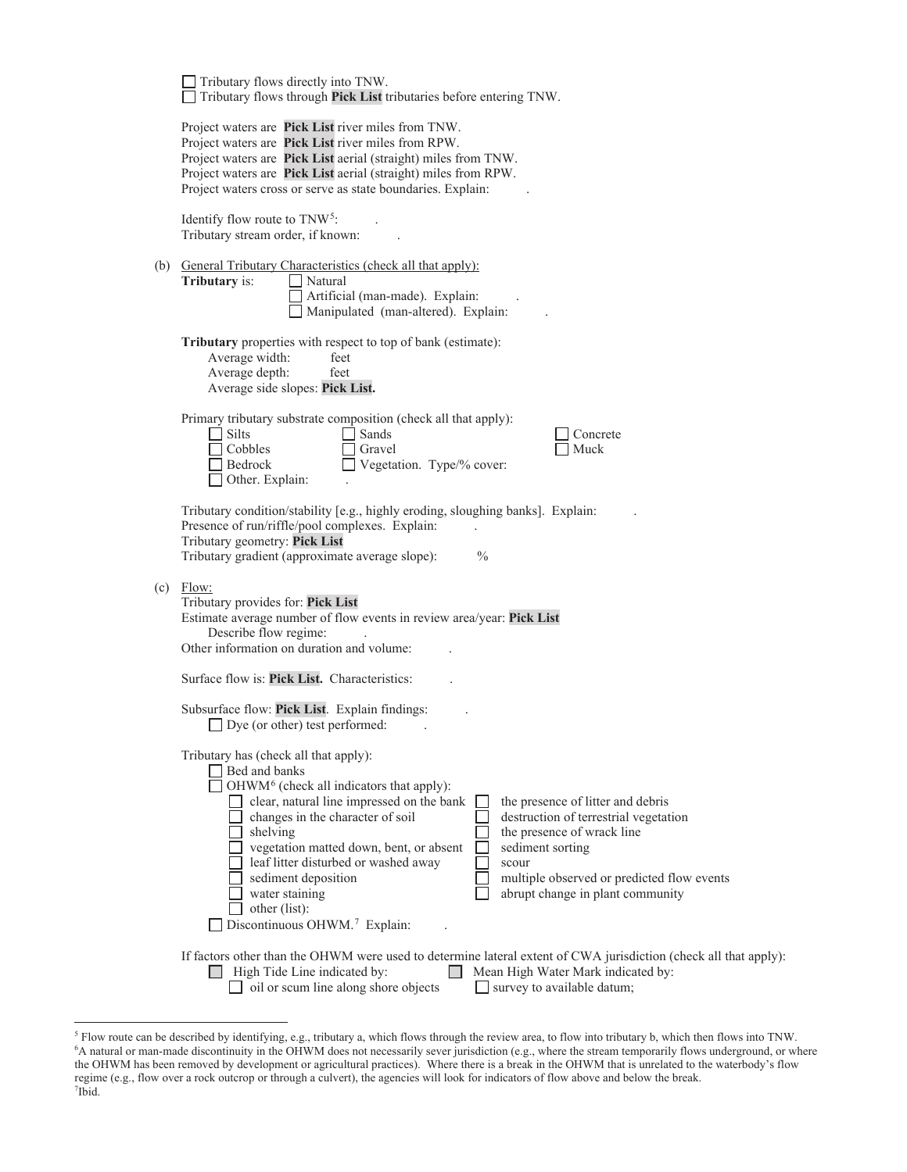| Tributary flows directly into TNW.<br>Tributary flows through Pick List tributaries before entering TNW.                                                                                                                                                                                                                                                                                                                                                                                                                                                                                                                         |
|----------------------------------------------------------------------------------------------------------------------------------------------------------------------------------------------------------------------------------------------------------------------------------------------------------------------------------------------------------------------------------------------------------------------------------------------------------------------------------------------------------------------------------------------------------------------------------------------------------------------------------|
| Project waters are Pick List river miles from TNW.<br>Project waters are Pick List river miles from RPW.<br>Project waters are Pick List aerial (straight) miles from TNW.<br>Project waters are Pick List aerial (straight) miles from RPW.<br>Project waters cross or serve as state boundaries. Explain:                                                                                                                                                                                                                                                                                                                      |
| Identify flow route to TNW <sup>5</sup> :<br>Tributary stream order, if known:                                                                                                                                                                                                                                                                                                                                                                                                                                                                                                                                                   |
| (b) General Tributary Characteristics (check all that apply):<br>Tributary is:<br>Natural<br>Artificial (man-made). Explain:<br>Manipulated (man-altered). Explain:                                                                                                                                                                                                                                                                                                                                                                                                                                                              |
| <b>Tributary</b> properties with respect to top of bank (estimate):<br>Average width:<br>feet<br>Average depth:<br>feet<br>Average side slopes: Pick List.                                                                                                                                                                                                                                                                                                                                                                                                                                                                       |
| Primary tributary substrate composition (check all that apply):<br>Silts<br>Sands<br>Concrete<br>Cobbles<br>Muck<br>Gravel<br>Vegetation. Type/% cover:<br>Bedrock<br>Other. Explain:                                                                                                                                                                                                                                                                                                                                                                                                                                            |
| Tributary condition/stability [e.g., highly eroding, sloughing banks]. Explain:<br>Presence of run/riffle/pool complexes. Explain:<br>Tributary geometry: Pick List<br>Tributary gradient (approximate average slope):<br>$\frac{0}{0}$                                                                                                                                                                                                                                                                                                                                                                                          |
| $(c)$ Flow:<br>Tributary provides for: Pick List<br>Estimate average number of flow events in review area/year: Pick List<br>Describe flow regime:<br>Other information on duration and volume:                                                                                                                                                                                                                                                                                                                                                                                                                                  |
| Surface flow is: Pick List. Characteristics:                                                                                                                                                                                                                                                                                                                                                                                                                                                                                                                                                                                     |
| Subsurface flow: Pick List. Explain findings:<br>$\Box$ Dye (or other) test performed:                                                                                                                                                                                                                                                                                                                                                                                                                                                                                                                                           |
| Tributary has (check all that apply):<br>Bed and banks<br>OHWM <sup>6</sup> (check all indicators that apply):<br>clear, natural line impressed on the bank<br>the presence of litter and debris<br>changes in the character of soil<br>destruction of terrestrial vegetation<br>shelving<br>the presence of wrack line<br>vegetation matted down, bent, or absent<br>sediment sorting<br>leaf litter disturbed or washed away<br>scour<br>sediment deposition<br>multiple observed or predicted flow events<br>water staining<br>abrupt change in plant community<br>other (list):<br>Discontinuous OHWM. <sup>7</sup> Explain: |
| If factors other than the OHWM were used to determine lateral extent of CWA jurisdiction (check all that apply):<br>High Tide Line indicated by:<br>Mean High Water Mark indicated by:<br>oil or scum line along shore objects<br>survey to available datum;<br>$\mathbf{1}$                                                                                                                                                                                                                                                                                                                                                     |
|                                                                                                                                                                                                                                                                                                                                                                                                                                                                                                                                                                                                                                  |

 the OHWM has been removed by development or agricultural practices). Where there is a break in the OHWM that is unrelated to the waterbody's flow  ${}^5$  Flow route can be described by identifying, e.g., tributary a, which flows through the review area, to flow into tributary b, which then flows into TNW.<br><sup>6</sup>A natural or man-made discontinuity in the OHWM does not ne regime (e.g., flow over a rock outcrop or through a culvert), the agencies will look for indicators of flow above and below the break.<br><sup>7</sup>Ibid  $7$ Ibid.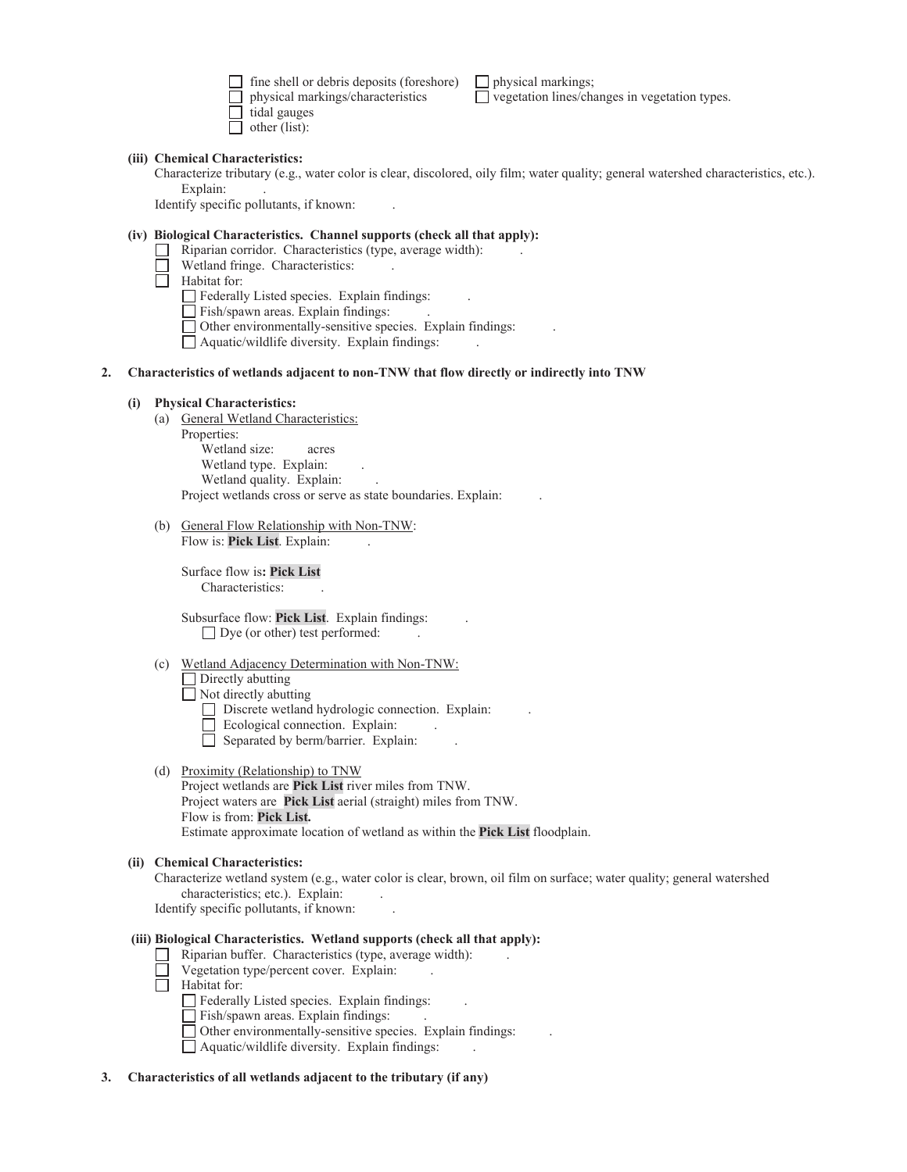fine shell or debris deposits (foreshore)  $\Box$  physical markings; physical markings/characteristics vegetation lines/changes in vegetation types.  $\Box$  tidal gauges

 $\Box$  other (list):

#### **(iii) Chemical Characteristics:**

 Explain: . Characterize tributary (e.g., water color is clear, discolored, oily film; water quality; general watershed characteristics, etc.).

Identify specific pollutants, if known: .

### **(iv) Biological Characteristics. Channel supports (check all that apply):**

- $\Box$  Riparian corridor. Characteristics (type, average width):
- Wetland fringe. Characteristics:
- $\overline{\Box}$  Habitat for:
	- Federally Listed species. Explain findings: .
	- Fish/spawn areas. Explain findings:
	- Other environmentally-sensitive species. Explain findings: .
	- Aquatic/wildlife diversity. Explain findings: .

### **2. Characteristics of wetlands adjacent to non-TNW that flow directly or indirectly into TNW**

#### **(i) Physical Characteristics:**

- (a) General Wetland Characteristics:
	- Properties: Wetland size: acres Wetland type. Explain: Wetland quality. Explain:
	- Project wetlands cross or serve as state boundaries. Explain: .
- (b) General Flow Relationship with Non-TNW: Flow is: Pick List. Explain:

Surface flow is**: Pick List**  Characteristics: .

 Subsurface flow: **Pick List**. Explain findings: .  $\Box$  Dye (or other) test performed:

(c) Wetland Adjacency Determination with Non-TNW:

 $\Box$  Directly abutting Not directly abutting

- Discrete wetland hydrologic connection. Explain:
- Ecological connection. Explain:
- Separated by berm/barrier. Explain:
- (d) Proximity (Relationship) to TNW
	- Project wetlands are **Pick List** river miles from TNW. Project waters are **Pick List** aerial (straight) miles from TNW. Flow is from: **Pick List.**  Estimate approximate location of wetland as within the **Pick List** floodplain.

#### **(ii) Chemical Characteristics:**

 characteristics; etc.). Explain: . Characterize wetland system (e.g., water color is clear, brown, oil film on surface; water quality; general watershed Identify specific pollutants, if known: .

#### **(iii) Biological Characteristics. Wetland supports (check all that apply):**

- $\Box$  Riparian buffer. Characteristics (type, average width):
- $\Box$  Vegetation type/percent cover. Explain:
- $\Box$  Habitat for:

Federally Listed species. Explain findings:  $\qquad \qquad$ .

- Fish/spawn areas. Explain findings: ...
- Other environmentally-sensitive species. Explain findings: .
- $\Box$  Aquatic/wildlife diversity. Explain findings:
- **3. Characteristics of all wetlands adjacent to the tributary (if any)**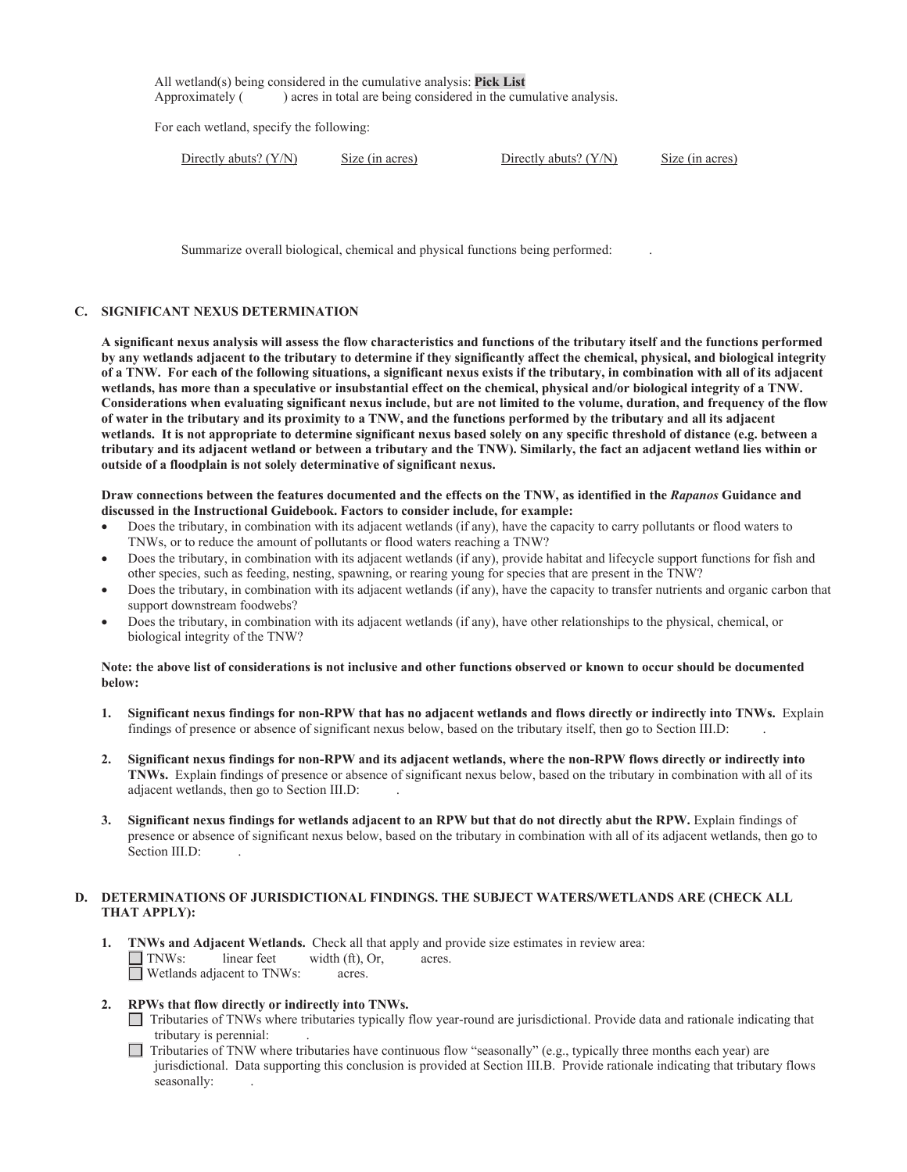All wetland(s) being considered in the cumulative analysis: **Pick List**  Approximately ( ) acres in total are being considered in the cumulative analysis.

For each wetland, specify the following:

| Directly abuts? $(Y/N)$ |  |
|-------------------------|--|
|                         |  |

Size (in acres) Directly abuts? (Y/N) Size (in acres)

Summarize overall biological, chemical and physical functions being performed: .

### **C. SIGNIFICANT NEXUS DETERMINATION**

wetlands, has more than a speculative or insubstantial effect on the chemical, physical and/or biological integrity of a TNW. **A significant nexus analysis will assess the flow characteristics and functions of the tributary itself and the functions performed by any wetlands adjacent to the tributary to determine if they significantly affect the chemical, physical, and biological integrity of a TNW. For each of the following situations, a significant nexus exists if the tributary, in combination with all of its adjacent**  Considerations when evaluating significant nexus include, but are not limited to the volume, duration, and frequency of the flow **of water in the tributary and its proximity to a TNW, and the functions performed by the tributary and all its adjacent wetlands. It is not appropriate to determine significant nexus based solely on any specific threshold of distance (e.g. between a tributary and its adjacent wetland or between a tributary and the TNW). Similarly, the fact an adjacent wetland lies within or outside of a floodplain is not solely determinative of significant nexus.** 

### **Draw connections between the features documented and the effects on the TNW, as identified in the** *Rapanos* **Guidance and discussed in the Instructional Guidebook. Factors to consider include, for example:**

- Does the tributary, in combination with its adjacent wetlands (if any), have the capacity to carry pollutants or flood waters to TNWs, or to reduce the amount of pollutants or flood waters reaching a TNW?
- Does the tributary, in combination with its adjacent wetlands (if any), provide habitat and lifecycle support functions for fish and other species, such as feeding, nesting, spawning, or rearing young for species that are present in the TNW?
- Does the tributary, in combination with its adjacent wetlands (if any), have the capacity to transfer nutrients and organic carbon that support downstream foodwebs?
- Does the tributary, in combination with its adjacent wetlands (if any), have other relationships to the physical, chemical, or biological integrity of the TNW?

### **Note: the above list of considerations is not inclusive and other functions observed or known to occur should be documented below:**

- findings of presence or absence of significant nexus below, based on the tributary itself, then go to Section III.D: . **1. Significant nexus findings for non-RPW that has no adjacent wetlands and flows directly or indirectly into TNWs.** Explain
- **2. Significant nexus findings for non-RPW and its adjacent wetlands, where the non-RPW flows directly or indirectly into TNWs.** Explain findings of presence or absence of significant nexus below, based on the tributary in combination with all of its adjacent wetlands, then go to Section III.D: .
- Section III.D: **3. Significant nexus findings for wetlands adjacent to an RPW but that do not directly abut the RPW.** Explain findings of presence or absence of significant nexus below, based on the tributary in combination with all of its adjacent wetlands, then go to

## **D. DETERMINATIONS OF JURISDICTIONAL FINDINGS. THE SUBJECT WATERS/WETLANDS ARE (CHECK ALL THAT APPLY):**

 **1. TNWs and Adjacent Wetlands.** Check all that apply and provide size estimates in review area: TNWs: linear feet width (ft), Or, acres. □ Wetlands adjacent to TNWs: acres.

# **2. RPWs that flow directly or indirectly into TNWs.**

- Tributaries of TNWs where tributaries typically flow year-round are jurisdictional. Provide data and rationale indicating that tributary is perennial:
- $\Box$  Tributaries of TNW where tributaries have continuous flow "seasonally" (e.g., typically three months each year) are jurisdictional. Data supporting this conclusion is provided at Section III.B. Provide rationale indicating that tributary flows seasonally: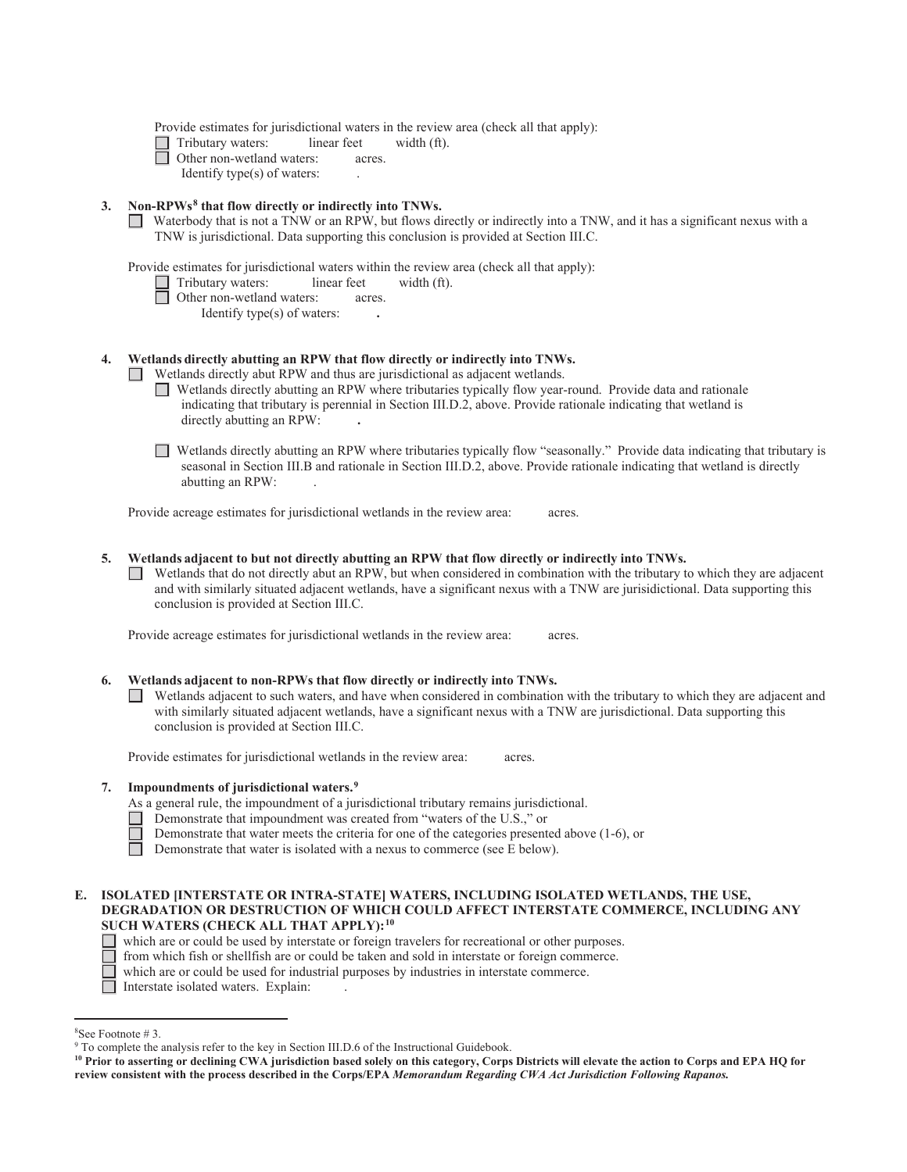Provide estimates for jurisdictional waters in the review area (check all that apply):

 $\Box$  Tributary waters: linear feet width (ft).<br>  $\Box$  Other non-wetland waters: acres.

Other non-wetland waters: acres.

Identify type(s) of waters: .

### **3. Non-RPWs8 that flow directly or indirectly into TNWs.**

Waterbody that is not a TNW or an RPW, but flows directly or indirectly into a TNW, and it has a significant nexus with a TNW is jurisdictional. Data supporting this conclusion is provided at Section III.C.

Provide estimates for jurisdictional waters within the review area (check all that apply):

- Tributary waters: linear feet width (ft).
- Other non-wetland waters: acres.

Identify type(s) of waters: **.**

### **4. Wetlands directly abutting an RPW that flow directly or indirectly into TNWs.**

Wetlands directly abut RPW and thus are jurisdictional as adjacent wetlands.

- Wetlands directly abutting an RPW where tributaries typically flow year-round. Provide data and rationale indicating that tributary is perennial in Section III.D.2, above. Provide rationale indicating that wetland is directly abutting an RPW: **.**
- Wetlands directly abutting an RPW where tributaries typically flow "seasonally." Provide data indicating that tributary is seasonal in Section III.B and rationale in Section III.D.2, above. Provide rationale indicating that wetland is directly abutting an RPW: .

Provide acreage estimates for jurisdictional wetlands in the review area: acres.

#### **5. Wetlands adjacent to but not directly abutting an RPW that flow directly or indirectly into TNWs.**

conclusion is provided at Section III.C.  $\Box$  Wetlands that do not directly abut an RPW, but when considered in combination with the tributary to which they are adjacent and with similarly situated adjacent wetlands, have a significant nexus with a TNW are jurisidictional. Data supporting this

Provide acreage estimates for jurisdictional wetlands in the review area: acres.

#### **6. Wetlands adjacent to non-RPWs that flow directly or indirectly into TNWs.**

Wetlands adjacent to such waters, and have when considered in combination with the tributary to which they are adjacent and with similarly situated adjacent wetlands, have a significant nexus with a TNW are jurisdictional. Data supporting this conclusion is provided at Section III.C.

Provide estimates for jurisdictional wetlands in the review area: acres.

### **7. Impoundments of jurisdictional waters.9**

- As a general rule, the impoundment of a jurisdictional tributary remains jurisdictional.
- Demonstrate that impoundment was created from "waters of the U.S.," or
- Demonstrate that water meets the criteria for one of the categories presented above (1-6), or

 $\Box$ Demonstrate that water is isolated with a nexus to commerce (see E below).

### **E. ISOLATED [INTERSTATE OR INTRA-STATE] WATERS, INCLUDING ISOLATED WETLANDS, THE USE, DEGRADATION OR DESTRUCTION OF WHICH COULD AFFECT INTERSTATE COMMERCE, INCLUDING ANY SUCH WATERS (CHECK ALL THAT APPLY):10**

- which are or could be used by interstate or foreign travelers for recreational or other purposes.
- from which fish or shellfish are or could be taken and sold in interstate or foreign commerce.
- which are or could be used for industrial purposes by industries in interstate commerce.
- Interstate isolated waters. Explain: .

<sup>8</sup> See Footnote # 3.

<sup>&</sup>lt;sup>9</sup> To complete the analysis refer to the key in Section III.D.6 of the Instructional Guidebook.

 **review consistent with the process described in the Corps/EPA** *Memorandum Regarding CWA Act Jurisdiction Following Rapanos.* **10 Prior to asserting or declining CWA jurisdiction based solely on this category, Corps Districts will elevate the action to Corps and EPA HQ for**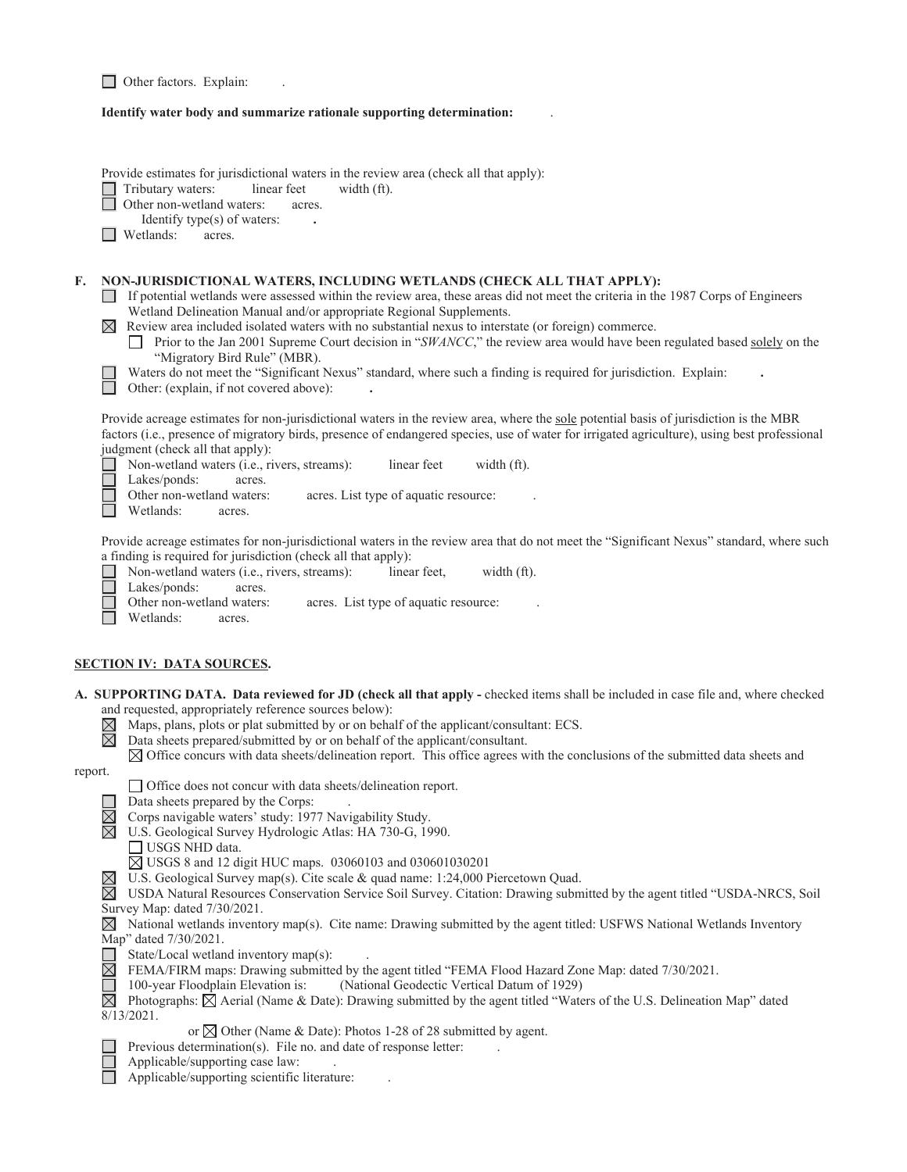|  |  |  | <b>Other factors.</b> Explain: |  |
|--|--|--|--------------------------------|--|
|--|--|--|--------------------------------|--|

#### **Identify water body and summarize rationale supporting determination:** .

|         | Provide estimates for jurisdictional waters in the review area (check all that apply):<br>Tributary waters:<br>linear feet<br>width $(ft)$ .<br>Other non-wetland waters:<br>acres.<br>Identify type(s) of waters:<br>Wetlands:<br>acres.                                                                                                                                                                                                                                                                                                                                                                                                                                                                                                |
|---------|------------------------------------------------------------------------------------------------------------------------------------------------------------------------------------------------------------------------------------------------------------------------------------------------------------------------------------------------------------------------------------------------------------------------------------------------------------------------------------------------------------------------------------------------------------------------------------------------------------------------------------------------------------------------------------------------------------------------------------------|
| F.      | NON-JURISDICTIONAL WATERS, INCLUDING WETLANDS (CHECK ALL THAT APPLY):<br>If potential wetlands were assessed within the review area, these areas did not meet the criteria in the 1987 Corps of Engineers<br>Wetland Delineation Manual and/or appropriate Regional Supplements.<br>$\boxtimes$ Review area included isolated waters with no substantial nexus to interstate (or foreign) commerce.<br>Prior to the Jan 2001 Supreme Court decision in "SWANCC," the review area would have been regulated based solely on the<br>$\perp$<br>"Migratory Bird Rule" (MBR).<br>Waters do not meet the "Significant Nexus" standard, where such a finding is required for jurisdiction. Explain:<br>Other: (explain, if not covered above): |
|         | Provide acreage estimates for non-jurisdictional waters in the review area, where the sole potential basis of jurisdiction is the MBR<br>factors (i.e., presence of migratory birds, presence of endangered species, use of water for irrigated agriculture), using best professional<br>judgment (check all that apply):<br>Non-wetland waters (i.e., rivers, streams):<br>linear feet<br>width (ft).<br>Lakes/ponds:<br>acres.<br>Other non-wetland waters:<br>acres. List type of aquatic resource:<br>Wetlands:<br>acres.                                                                                                                                                                                                            |
|         | Provide acreage estimates for non-jurisdictional waters in the review area that do not meet the "Significant Nexus" standard, where such<br>a finding is required for jurisdiction (check all that apply):<br>Non-wetland waters (i.e., rivers, streams):<br>linear feet,<br>width (ft).<br>Lakes/ponds:<br>acres.<br>Other non-wetland waters:<br>acres. List type of aquatic resource:<br>Wetlands:<br>acres.                                                                                                                                                                                                                                                                                                                          |
|         | <b>SECTION IV: DATA SOURCES.</b>                                                                                                                                                                                                                                                                                                                                                                                                                                                                                                                                                                                                                                                                                                         |
|         | A. SUPPORTING DATA. Data reviewed for JD (check all that apply - checked items shall be included in case file and, where checked<br>and requested, appropriately reference sources below):<br>Maps, plans, plots or plat submitted by or on behalf of the applicant/consultant: ECS.<br>$\boxtimes$<br>$\boxtimes$<br>Data sheets prepared/submitted by or on behalf of the applicant/consultant.<br>$\boxtimes$ Office concurs with data sheets/delineation report. This office agrees with the conclusions of the submitted data sheets and                                                                                                                                                                                            |
| report. |                                                                                                                                                                                                                                                                                                                                                                                                                                                                                                                                                                                                                                                                                                                                          |
|         | □ Office does not concur with data sheets/delineation report.<br>Data sheets prepared by the Corps:<br>$\boxtimes$<br>Corps navigable waters' study: 1977 Navigability Study.<br>$\boxtimes$<br>U.S. Geological Survey Hydrologic Atlas: HA 730-G, 1990.<br>USGS NHD data.                                                                                                                                                                                                                                                                                                                                                                                                                                                               |
|         | ⊠ USGS 8 and 12 digit HUC maps. 03060103 and 030601030201<br>U.S. Geological Survey map(s). Cite scale & quad name: 1:24,000 Piercetown Quad.<br>$\boxtimes$<br>$\bowtie$<br>USDA Natural Resources Conservation Service Soil Survey. Citation: Drawing submitted by the agent titled "USDA-NRCS, Soil<br>Survey Map: dated 7/30/2021.<br>National wetlands inventory map(s). Cite name: Drawing submitted by the agent titled: USFWS National Wetlands Inventory<br>$\bowtie$                                                                                                                                                                                                                                                           |
|         | Map" dated 7/30/2021.<br>State/Local wetland inventory map(s):<br>FEMA/FIRM maps: Drawing submitted by the agent titled "FEMA Flood Hazard Zone Map: dated 7/30/2021.<br>$\boxtimes$<br>100-year Floodplain Elevation is:<br>(National Geodectic Vertical Datum of 1929)<br>Photographs: $\boxtimes$ Aerial (Name & Date): Drawing submitted by the agent titled "Waters of the U.S. Delineation Map" dated<br>$\boxtimes$<br>$8/13/2021$ .                                                                                                                                                                                                                                                                                              |
|         | or $\boxtimes$ Other (Name & Date): Photos 1-28 of 28 submitted by agent.<br>Previous determination(s). File no. and date of response letter:<br>Applicable/supporting case law:<br>Applicable/supporting scientific literature:                                                                                                                                                                                                                                                                                                                                                                                                                                                                                                         |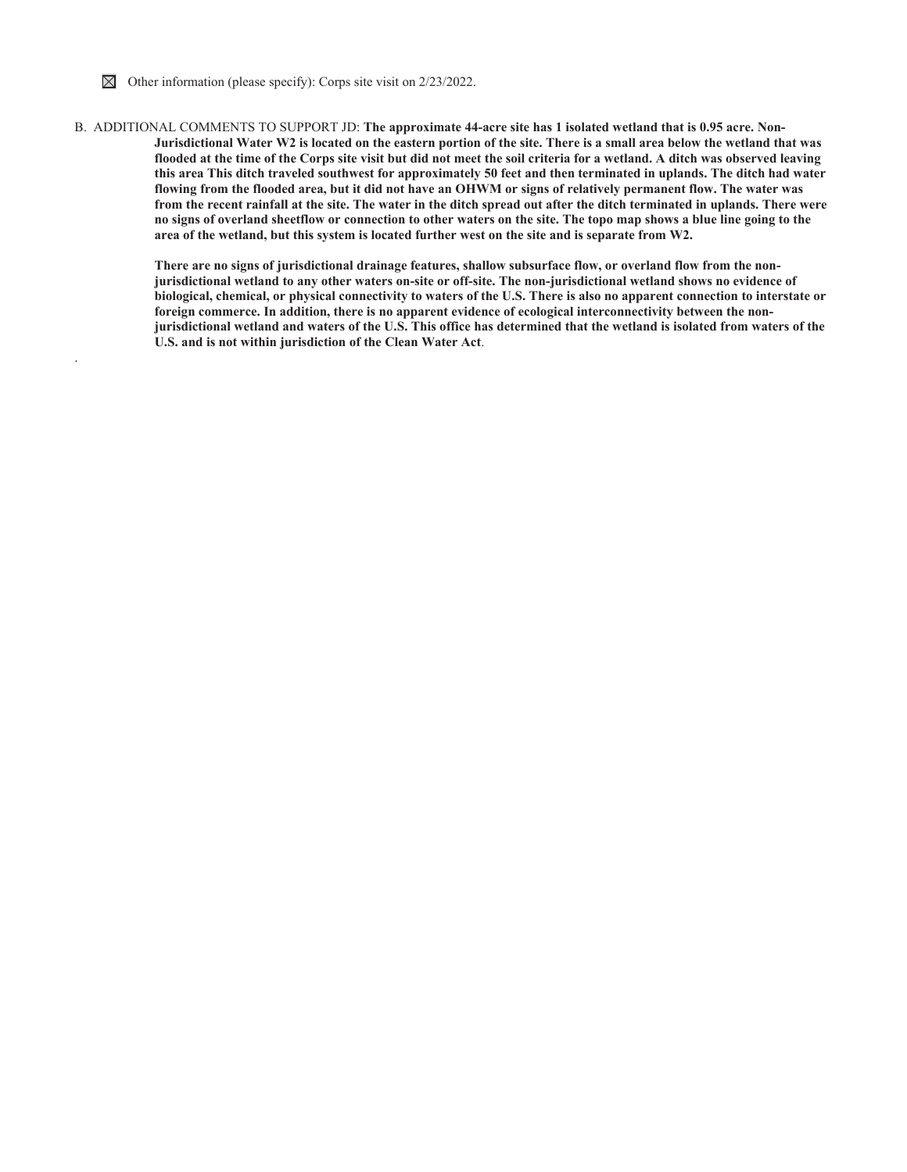

.

B. ADDITIONAL COMMENTS TO SUPPORT JD: **The approximate 44-acre site has 1 isolated wetland that is 0.95 acre. Non-Jurisdictional Water W2 is located on the eastern portion of the site. There is a small area below the wetland that was flooded at the time of the Corps site visit but did not meet the soil criteria for a wetland. A ditch was observed leaving this area This ditch traveled southwest for approximately 50 feet and then terminated in uplands. The ditch had water flowing from the flooded area, but it did not have an OHWM or signs of relatively permanent flow. The water was from the recent rainfall at the site. The water in the ditch spread out after the ditch terminated in uplands. There were no signs of overland sheetflow or connection to other waters on the site. The topo map shows a blue line going to the area of the wetland, but this system is located further west on the site and is separate from W2.** 

> **There are no signs of jurisdictional drainage features, shallow subsurface flow, or overland flow from the nonjurisdictional wetland to any other waters on-site or off-site. The non-jurisdictional wetland shows no evidence of biological, chemical, or physical connectivity to waters of the U.S. There is also no apparent connection to interstate or foreign commerce. In addition, there is no apparent evidence of ecological interconnectivity between the nonjurisdictional wetland and waters of the U.S. This office has determined that the wetland is isolated from waters of the U.S. and is not within jurisdiction of the Clean Water Act**.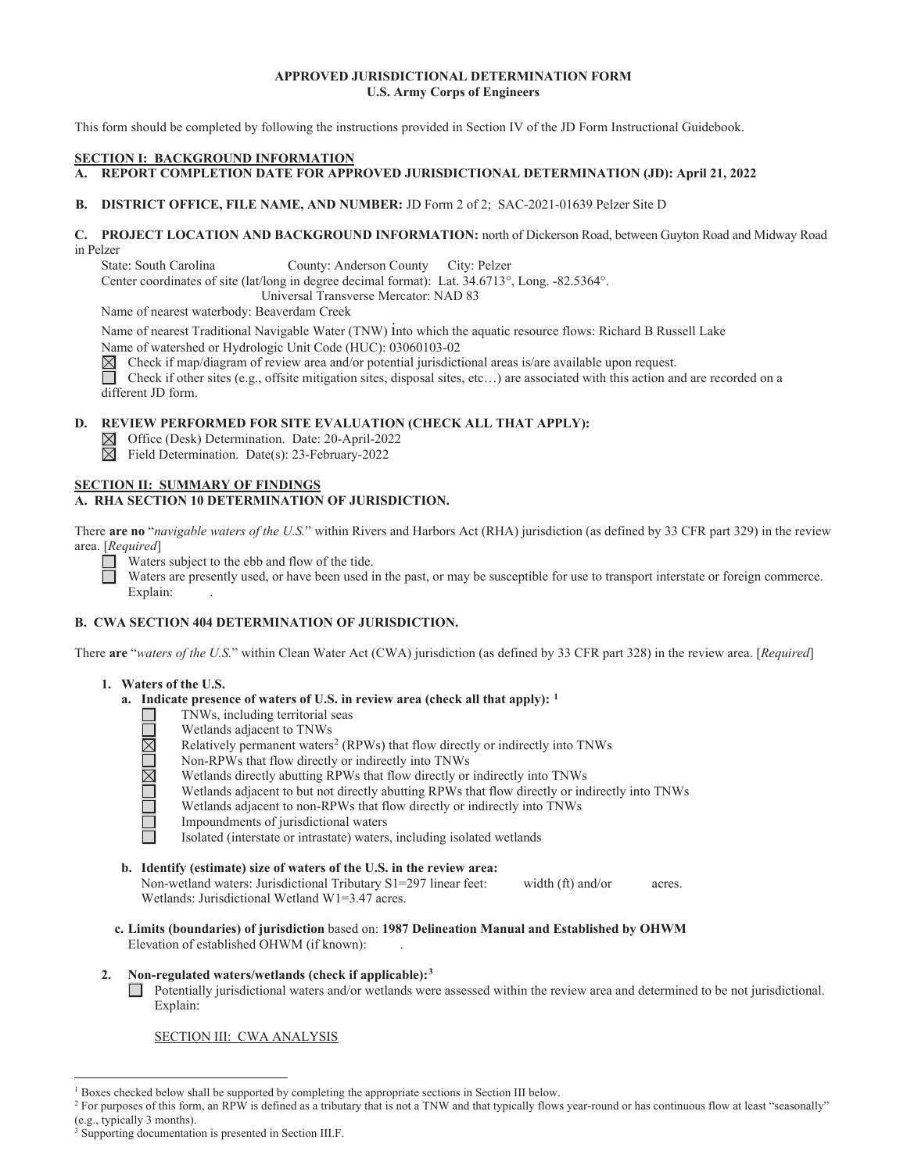### **APPROVED JURISDICTIONAL DETERMINATION FORM U.S. Army Corps of Engineers**

This form should be completed by following the instructions provided in Section IV of the JD Form Instructional Guidebook.

### **SECTION I: BACKGROUND INFORMATION**

# **\$ REPORT COMPLETION DATE FOR APPROVED JURISDICTIONAL DETERMINATION (JD): April 21, 2022**

### **B. DISTRICT OFFICE, FILE NAME, AND NUMBER: JD Form 2 of 2; SAC-2021-01639 Pelzer Site D**

### **& PROJECT LOCATION AND BACKGROUND INFORMATION:** north of Dickerson Road, between Guyton Road and Midway Road in Pelzer

State: South Carolina County: Anderson County City: Pelzer

Center coordinates of site (lat/long in degree decimal format): Lat. 34.6713°, Long. -82.5364°.

Universal Transverse Mercator: NAD 83

Name of nearest waterbody: Beaverdam Creek

Name of nearest Traditional Navigable Water (TNW) into which the aquatic resource flows: Richard B Russell Lake

Name of watershed or Hydrologic Unit Code (HUC): 03060103-02

 $\boxtimes$ Check if map/diagram of review area and/or potential jurisdictional areas is/are available upon request. Check if other sites (e.g., offsite mitigation sites, disposal sites, etc...) are associated with this action and are recorded on a different JD form.

### **D. REVIEW PERFORMED FOR SITE EVALUATION (CHECK ALL THAT APPLY):**

Office (Desk) Determination. Date: 20-April-2022

Field Determination. Date(s): 23-February-2022

#### **SECTION II: SUMMARY OF FINDINGS A. RHA SECTION 10 DETERMINATION OF JURISDICTION.**

There **are no** "*navigable waters of the U.S.*" within Rivers and Harbors Act (RHA) jurisdiction (as defined by 33 CFR part 329) in the review area. [*Required*]

Waters subject to the ebb and flow of the tide.

Waters are presently used, or have been used in the past, or may be susceptible for use to transport interstate or foreign commerce. Explain: Explain:

# **B. CWA SECTION 404 DETERMINATION OF JURISDICTION.**

There **are** "*waters of the U.S.*" within Clean Water Act (CWA) jurisdiction (as defined by 33 CFR part 328) in the review area. [*Required*]

### **1. Waters of the U.S.**

 $\Box$ 

- **a. Indicate presence of waters of U.S. in review area (check all that apply): 1** 
	- TNWs, including territorial seas
	- Wetlands adjacent to TNWs
	- Relatively permanent waters<sup>2</sup> (RPWs) that flow directly or indirectly into TNWs
	- Non-RPWs that flow directly or indirectly into TNWs
	- <u> UNUMUNI</u> Wetlands directly abutting RPWs that flow directly or indirectly into TNWs
		- Wetlands adjacent to but not directly abutting RPWs that flow directly or indirectly into TNWs
		- Wetlands adjacent to non-RPWs that flow directly or indirectly into TNWs Impoundments of jurisdictional waters
		-
		- Isolated (interstate or intrastate) waters, including isolated wetlands
- **b. Identify (estimate) size of waters of the U.S. in the review area:**  Non-wetland waters: Jurisdictional Tributary S1=297 linear feet: width (ft) and/or acres. Wetlands: Jurisdictional Wetland W1=3.47 acres.
- **c. Limits (boundaries) of jurisdiction** based on: **1987 Delineation Manual and Established by OHWM**  Elevation of established OHWM (if known):
- **2. Non-regulated waters/wetlands (check if applicable):3**

Potentially jurisdictional waters and/or wetlands were assessed within the review area and determined to be not jurisdictional. Explain:

SECTION III: CWA ANALYSIS

<sup>&</sup>lt;sup>1</sup> Boxes checked below shall be supported by completing the appropriate sections in Section III below.<br><sup>2</sup> For purposes of this form an PPW is defined as a tributory that is not a TNW and that tunically flows

<sup>&</sup>lt;sup>2</sup> For purposes of this form, an RPW is defined as a tributary that is not a TNW and that typically flows year-round or has continuous flow at least "seasonally" (e.g., typically 3 months).

<sup>&</sup>lt;sup>3</sup> Supporting documentation is presented in Section III.F.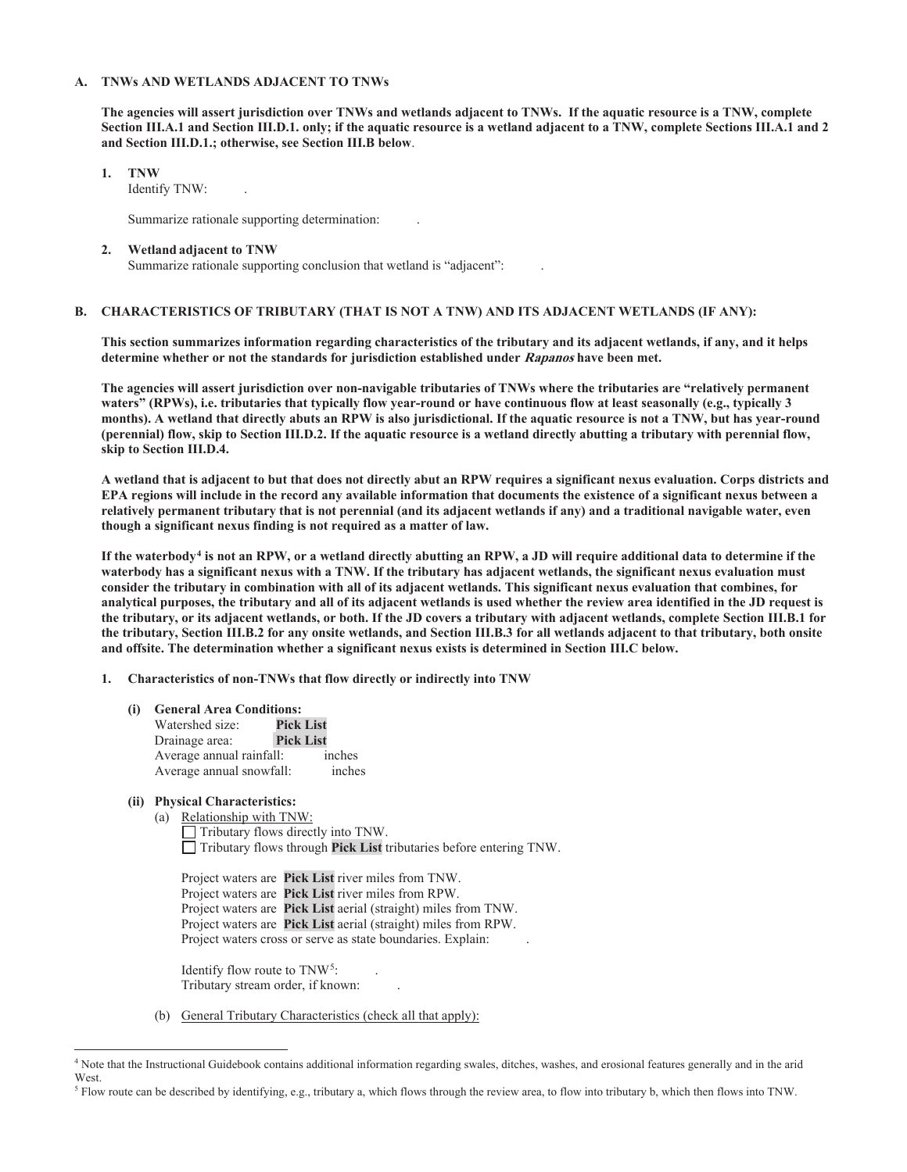#### **A. TNWs AND WETLANDS ADJACENT TO TNWs**

 **and Section III.D.1.; otherwise, see Section III.B below**. **The agencies will assert jurisdiction over TNWs and wetlands adjacent to TNWs. If the aquatic resource is a TNW, complete Section III.A.1 and Section III.D.1. only; if the aquatic resource is a wetland adjacent to a TNW, complete Sections III.A.1 and 2** 

- **1. TNW** 
	- Identify TNW: .

Summarize rationale supporting determination: .

**2. Wetland adjacent to TNW**  Summarize rationale supporting conclusion that wetland is "adjacent": .

### **B. CHARACTERISTICS OF TRIBUTARY (THAT IS NOT A TNW) AND ITS ADJACENT WETLANDS (IF ANY):**

**This section summarizes information regarding characteristics of the tributary and its adjacent wetlands, if any, and it helps determine whether or not the standards for jurisdiction established under Rapanos have been met.** 

skip to Section III.D.4. **The agencies will assert jurisdiction over non-navigable tributaries of TNWs where the tributaries are "relatively permanent waters" (RPWs), i.e. tributaries that typically flow year-round or have continuous flow at least seasonally (e.g., typically 3 months). A wetland that directly abuts an RPW is also jurisdictional. If the aquatic resource is not a TNW, but has year-round (perennial) flow, skip to Section III.D.2. If the aquatic resource is a wetland directly abutting a tributary with perennial flow,** 

**skip to Section III.D.4. A wetland that is adjacent to but that does not directly abut an RPW requires a significant nexus evaluation. Corps districts and EPA regions will include in the record any available information that documents the existence of a significant nexus between a relatively permanent tributary that is not perennial (and its adjacent wetlands if any) and a traditional navigable water, even though a significant nexus finding is not required as a matter of law.** 

 **and offsite. The determination whether a significant nexus exists is determined in Section III.C below. If the waterbody4 is not an RPW, or a wetland directly abutting an RPW, a JD will require additional data to determine if the waterbody has a significant nexus with a TNW. If the tributary has adjacent wetlands, the significant nexus evaluation must consider the tributary in combination with all of its adjacent wetlands. This significant nexus evaluation that combines, for analytical purposes, the tributary and all of its adjacent wetlands is used whether the review area identified in the JD request is the tributary, or its adjacent wetlands, or both. If the JD covers a tributary with adjacent wetlands, complete Section III.B.1 for the tributary, Section III.B.2 for any onsite wetlands, and Section III.B.3 for all wetlands adjacent to that tributary, both onsite** 

- **1. Characteristics of non-TNWs that flow directly or indirectly into TNW** 
	- **(i) General Area Conditions:** 
		- Watershed size: **Pick List Drainage** area: Average annual rainfall: inches Average annual snowfall: inches
	- **(ii) Physical Characteristics:**
		- (a) Relationship with TNW:

 $\Box$  Tributary flows directly into TNW. Tributary flows through **Pick List** tributaries before entering TNW.

Project waters are **Pick List** river miles from TNW. Project waters are **Pick List** river miles from RPW. Project waters are **Pick List** aerial (straight) miles from TNW. Project waters are **Pick List** aerial (straight) miles from RPW. Project waters cross or serve as state boundaries. Explain: .

Identify flow route to TNW<sup>5</sup>: . Tributary stream order, if known: .

(b) General Tributary Characteristics (check all that apply):

<sup>4</sup> Note that the Instructional Guidebook contains additional information regarding swales, ditches, washes, and erosional features generally and in the arid West.

<sup>&</sup>lt;sup>5</sup> Flow route can be described by identifying, e.g., tributary a, which flows through the review area, to flow into tributary b, which then flows into TNW.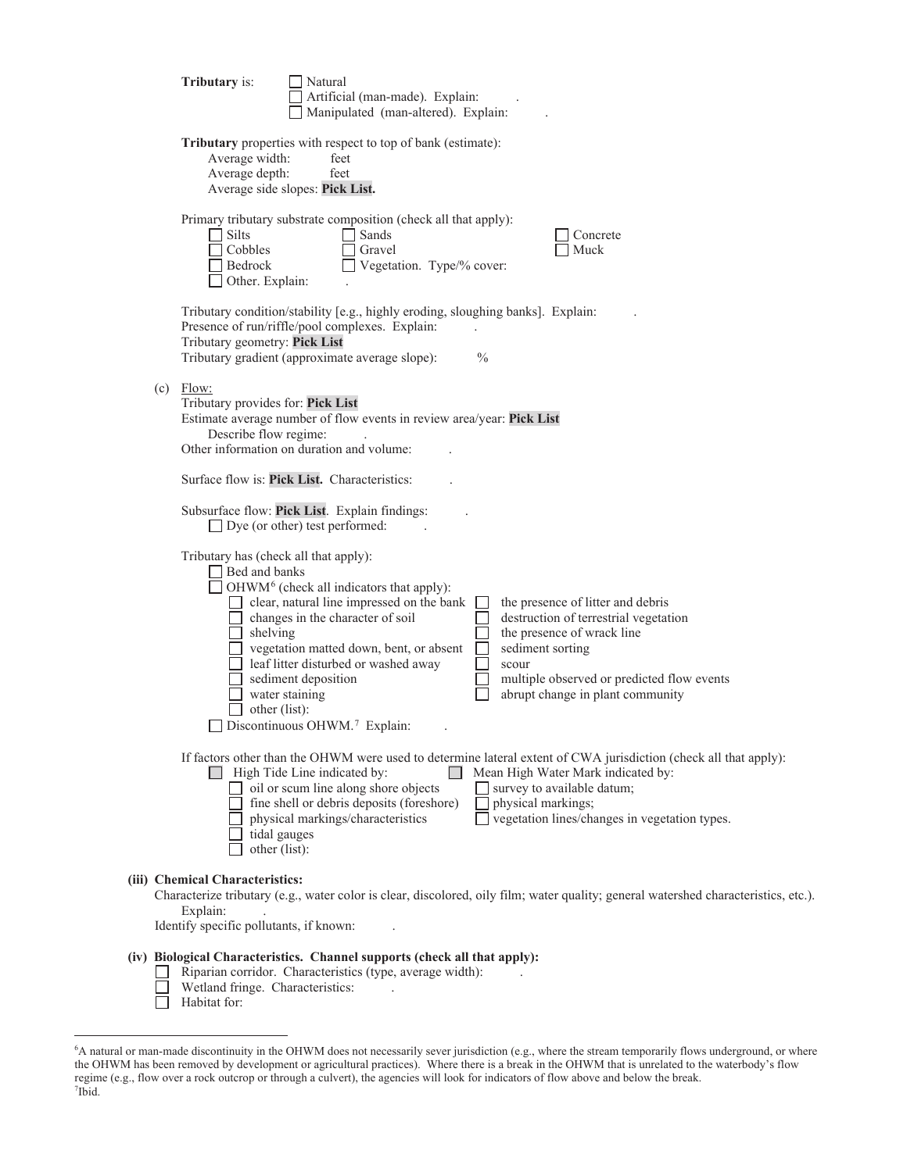| <b>Tributary</b> is:                                                                   | Natural<br>Artificial (man-made). Explain:<br>Manipulated (man-altered). Explain:                                                                                                                                                                                                                                                                                                                                                                                                                                                                          |
|----------------------------------------------------------------------------------------|------------------------------------------------------------------------------------------------------------------------------------------------------------------------------------------------------------------------------------------------------------------------------------------------------------------------------------------------------------------------------------------------------------------------------------------------------------------------------------------------------------------------------------------------------------|
| Average width:<br>Average depth:                                                       | Tributary properties with respect to top of bank (estimate):<br>feet<br>feet<br>Average side slopes: Pick List.                                                                                                                                                                                                                                                                                                                                                                                                                                            |
| Silts<br>Cobbles<br>Bedrock<br>Other. Explain:                                         | Primary tributary substrate composition (check all that apply):<br>Sands<br>Concrete<br>Gravel<br>Muck<br>Vegetation. Type/% cover:                                                                                                                                                                                                                                                                                                                                                                                                                        |
| Tributary geometry: Pick List                                                          | Tributary condition/stability [e.g., highly eroding, sloughing banks]. Explain:<br>Presence of run/riffle/pool complexes. Explain:<br>Tributary gradient (approximate average slope):<br>$\frac{0}{0}$                                                                                                                                                                                                                                                                                                                                                     |
| $(c)$ Flow:<br>Tributary provides for: Pick List<br>Describe flow regime:              | Estimate average number of flow events in review area/year: Pick List<br>Other information on duration and volume:                                                                                                                                                                                                                                                                                                                                                                                                                                         |
|                                                                                        | Surface flow is: Pick List. Characteristics:                                                                                                                                                                                                                                                                                                                                                                                                                                                                                                               |
|                                                                                        | Subsurface flow: Pick List. Explain findings:<br>$\Box$ Dye (or other) test performed:                                                                                                                                                                                                                                                                                                                                                                                                                                                                     |
| Tributary has (check all that apply):<br>Bed and banks<br>shelving<br>other (list):    | OHWM <sup>6</sup> (check all indicators that apply):<br>clear, natural line impressed on the bank<br>the presence of litter and debris<br>$\Box$ changes in the character of soil<br>destruction of terrestrial vegetation<br>the presence of wrack line<br>vegetation matted down, bent, or absent<br>sediment sorting<br>leaf litter disturbed or washed away<br>$\Box$<br>scour<br>sediment deposition<br>multiple observed or predicted flow events<br>water staining<br>abrupt change in plant community<br>Discontinuous OHWM. <sup>7</sup> Explain: |
| tidal gauges<br>other (list):                                                          | If factors other than the OHWM were used to determine lateral extent of CWA jurisdiction (check all that apply):<br>Mean High Water Mark indicated by:<br>High Tide Line indicated by:<br>$\Box$<br>$\Box$ oil or scum line along shore objects<br>survey to available datum;<br>fine shell or debris deposits (foreshore)<br>physical markings;<br>vegetation lines/changes in vegetation types.<br>physical markings/characteristics                                                                                                                     |
| (iii) Chemical Characteristics:<br>Explain:<br>Identify specific pollutants, if known: | Characterize tributary (e.g., water color is clear, discolored, oily film; water quality; general watershed characteristics, etc.).                                                                                                                                                                                                                                                                                                                                                                                                                        |
| Wetland fringe. Characteristics:                                                       | (iv) Biological Characteristics. Channel supports (check all that apply):<br>Riparian corridor. Characteristics (type, average width):                                                                                                                                                                                                                                                                                                                                                                                                                     |

 $\overline{\Box}$  Habitat for:

<sup>6</sup> A natural or man-made discontinuity in the OHWM does not necessarily sever jurisdiction (e.g., where the stream temporarily flows underground, or where the OHWM has been removed by development or agricultural practices). Where there is a break in the OHWM that is unrelated to the waterbody's flow regime (e.g., flow over a rock outcrop or through a culvert), the agencies will look for indicators of flow above and below the break. 7 Ibid.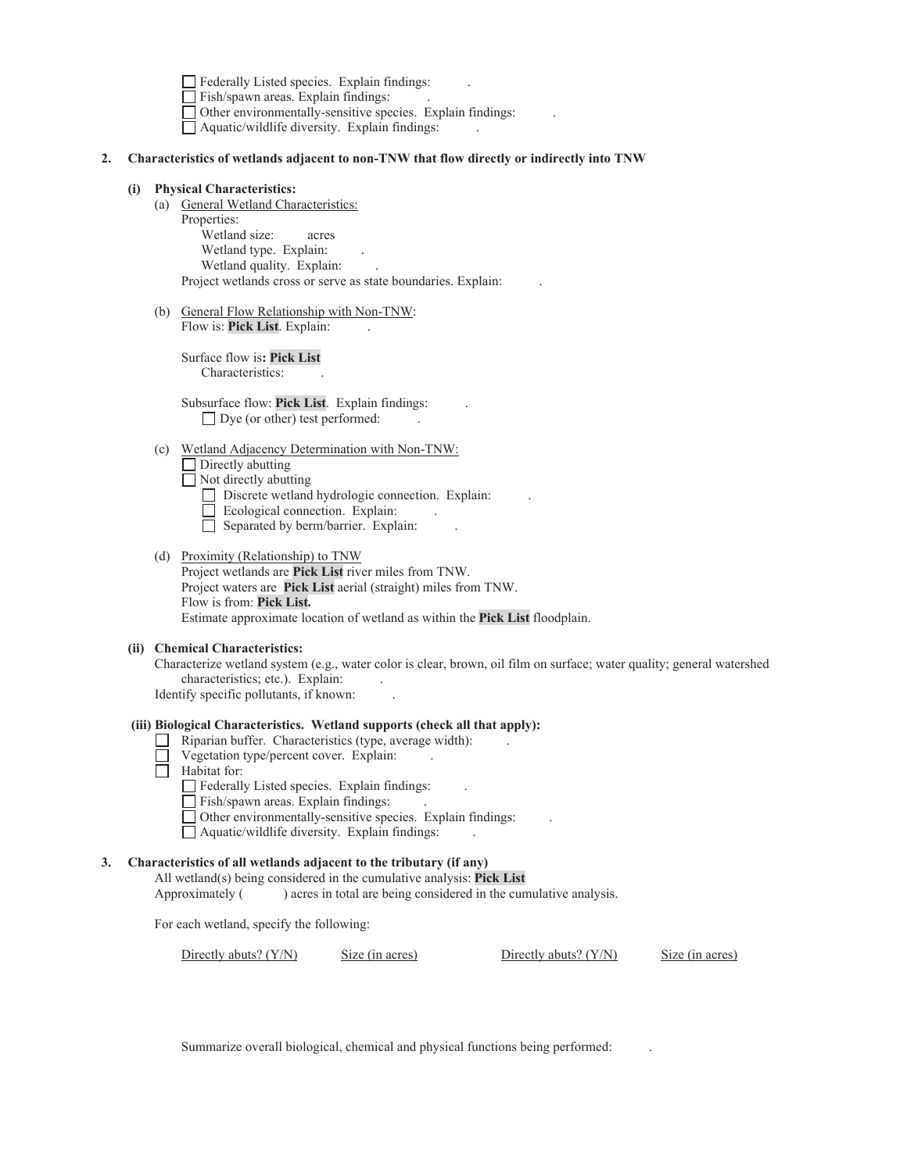Federally Listed species. Explain findings:

 $\Box$  Fish/spawn areas. Explain findings:

Other environmentally-sensitive species. Explain findings: .

 $\Box$  Aquatic/wildlife diversity. Explain findings:

### **2. Characteristics of wetlands adjacent to non-TNW that flow directly or indirectly into TNW**

### **(i) Physical Characteristics:**

(a) General Wetland Characteristics:

 Properties: Wetland size: acres Wetland type. Explain: Wetland quality. Explain: . Project wetlands cross or serve as state boundaries. Explain:

(b) General Flow Relationship with Non-TNW: Flow is: Pick List. Explain:

> Surface flow is**: Pick List**  Characteristics: .

 Subsurface flow: **Pick List**. Explain findings: .  $\Box$  Dye (or other) test performed:

(c) Wetland Adjacency Determination with Non-TNW:

 $\Box$  Directly abutting

- $\Box$  Not directly abutting
	- Discrete wetland hydrologic connection. Explain:
	- $\Box$  Ecological connection. Explain:
	- $\Box$  Separated by berm/barrier. Explain:
- (d) Proximity (Relationship) to TNW Project wetlands are **Pick List** river miles from TNW. Project waters are **Pick List** aerial (straight) miles from TNW. Flow is from: **Pick List.**  Estimate approximate location of wetland as within the **Pick List** floodplain.

#### **(ii) Chemical Characteristics:**

characteristics; etc.). Explain: . Characterize wetland system (e.g., water color is clear, brown, oil film on surface; water quality; general watershed

Identify specific pollutants, if known: .

### **(iii) Biological Characteristics. Wetland supports (check all that apply):**

- $\Box$  Riparian buffer. Characteristics (type, average width):
- Vegetation type/percent cover. Explain:
- $\Box$  Habitat for:
	- $\Box$  Federally Listed species. Explain findings:
	- $\Box$  Fish/spawn areas. Explain findings:
	- $\Box$  Other environmentally-sensitive species. Explain findings:
	- $\Box$  Aquatic/wildlife diversity. Explain findings:

### **3. Characteristics of all wetlands adjacent to the tributary (if any)**

 All wetland(s) being considered in the cumulative analysis: **Pick List**  Approximately ( ) acres in total are being considered in the cumulative analysis.

For each wetland, specify the following:

Directly abuts? (Y/N) Size (in acres) Directly abuts? (Y/N) Size (in acres)

Summarize overall biological, chemical and physical functions being performed: .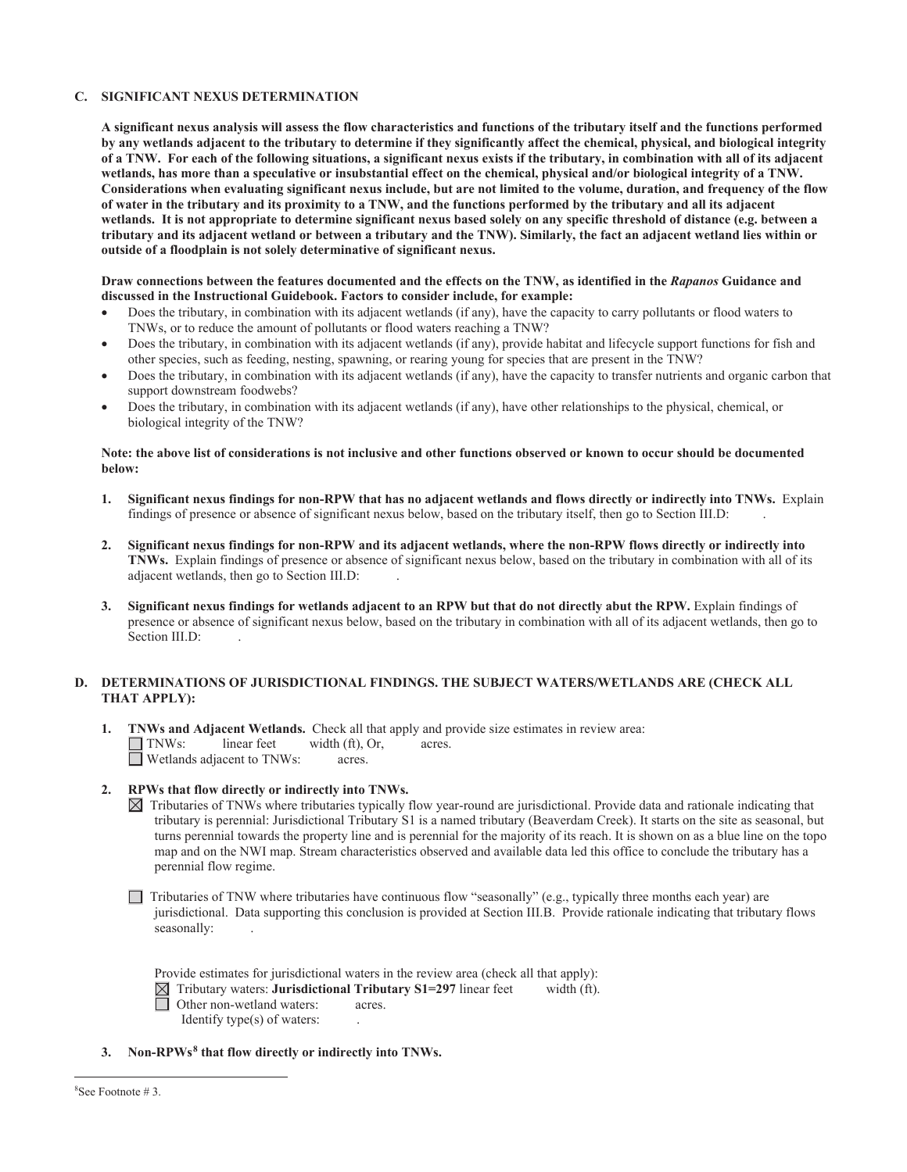### **C. SIGNIFICANT NEXUS DETERMINATION**

wetlands, has more than a speculative or insubstantial effect on the chemical, physical and/or biological integrity of a TNW. **A significant nexus analysis will assess the flow characteristics and functions of the tributary itself and the functions performed by any wetlands adjacent to the tributary to determine if they significantly affect the chemical, physical, and biological integrity of a TNW. For each of the following situations, a significant nexus exists if the tributary, in combination with all of its adjacent**  Considerations when evaluating significant nexus include, but are not limited to the volume, duration, and frequency of the flow **of water in the tributary and its proximity to a TNW, and the functions performed by the tributary and all its adjacent wetlands. It is not appropriate to determine significant nexus based solely on any specific threshold of distance (e.g. between a tributary and its adjacent wetland or between a tributary and the TNW). Similarly, the fact an adjacent wetland lies within or outside of a floodplain is not solely determinative of significant nexus.** 

#### **Draw connections between the features documented and the effects on the TNW, as identified in the** *Rapanos* **Guidance and discussed in the Instructional Guidebook. Factors to consider include, for example:**

- Does the tributary, in combination with its adjacent wetlands (if any), have the capacity to carry pollutants or flood waters to TNWs, or to reduce the amount of pollutants or flood waters reaching a TNW?
- Does the tributary, in combination with its adjacent wetlands (if any), provide habitat and lifecycle support functions for fish and other species, such as feeding, nesting, spawning, or rearing young for species that are present in the TNW?
- Does the tributary, in combination with its adjacent wetlands (if any), have the capacity to transfer nutrients and organic carbon that support downstream foodwebs?
- Does the tributary, in combination with its adjacent wetlands (if any), have other relationships to the physical, chemical, or biological integrity of the TNW?

#### **Note: the above list of considerations is not inclusive and other functions observed or known to occur should be documented below:**

- findings of presence or absence of significant nexus below, based on the tributary itself, then go to Section III.D: . **1. Significant nexus findings for non-RPW that has no adjacent wetlands and flows directly or indirectly into TNWs.** Explain
- **2. Significant nexus findings for non-RPW and its adjacent wetlands, where the non-RPW flows directly or indirectly into TNWs.** Explain findings of presence or absence of significant nexus below, based on the tributary in combination with all of its adjacent wetlands, then go to Section III.D: .
- Section III.D: **3. Significant nexus findings for wetlands adjacent to an RPW but that do not directly abut the RPW.** Explain findings of presence or absence of significant nexus below, based on the tributary in combination with all of its adjacent wetlands, then go to

### **D. DETERMINATIONS OF JURISDICTIONAL FINDINGS. THE SUBJECT WATERS/WETLANDS ARE (CHECK ALL THAT APPLY):**

 **1. TNWs and Adjacent Wetlands.** Check all that apply and provide size estimates in review area:  $\Box$  TNWs: linear feet width (ft), Or,  $\Box$  acres. □ Wetlands adjacent to TNWs: acres.

### **2. RPWs that flow directly or indirectly into TNWs.**

 Tributaries of TNWs where tributaries typically flow year-round are jurisdictional. Provide data and rationale indicating that tributary is perennial: Jurisdictional Tributary S1 is a named tributary (Beaverdam Creek). It starts on the site as seasonal, but turns perennial towards the property line and is perennial for the majority of its reach. It is shown on as a blue line on the topo map and on the NWI map. Stream characteristics observed and available data led this office to conclude the tributary has a perennial flow regime.

 $\Box$  Tributaries of TNW where tributaries have continuous flow "seasonally" (e.g., typically three months each year) are jurisdictional. Data supporting this conclusion is provided at Section III.B. Provide rationale indicating that tributary flows seasonally:

Provide estimates for jurisdictional waters in the review area (check all that apply):

 $\boxtimes$  Tributary waters: **Jurisdictional Tributary S1=297** linear feet width (ft).

Other non-wetland waters: acres.

- Identify type $(s)$  of waters:
- **3. Non-RPWs8 that flow directly or indirectly into TNWs.**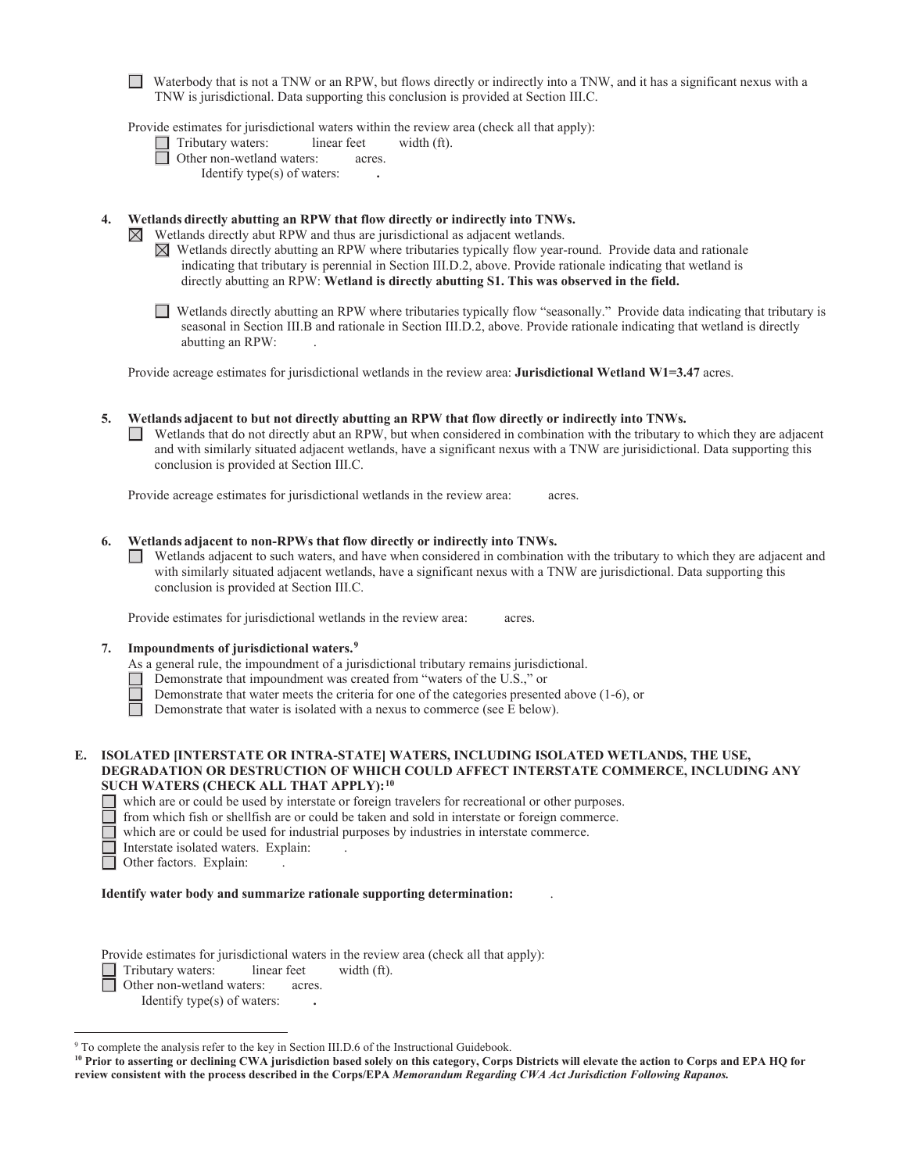Waterbody that is not a TNW or an RPW, but flows directly or indirectly into a TNW, and it has a significant nexus with a TNW is jurisdictional. Data supporting this conclusion is provided at Section III.C.

Provide estimates for jurisdictional waters within the review area (check all that apply):

acres.

Tributary waters: linear feet width (ft).<br>
Other non-wetland waters: acres.

| Other non-wetland waters:   |  |
|-----------------------------|--|
| Identify type(s) of waters: |  |

 $\boxtimes$ 

 **4. Wetlands directly abutting an RPW that flow directly or indirectly into TNWs.** 

Wetlands directly abut RPW and thus are jurisdictional as adjacent wetlands.

- $\boxtimes$  Wetlands directly abutting an RPW where tributaries typically flow year-round. Provide data and rationale indicating that tributary is perennial in Section III.D.2, above. Provide rationale indicating that wetland is directly abutting an RPW: **Wetland is directly abutting S1. This was observed in the field.**
- Wetlands directly abutting an RPW where tributaries typically flow "seasonally." Provide data indicating that tributary is seasonal in Section III.B and rationale in Section III.D.2, above. Provide rationale indicating that wetland is directly abutting an RPW: .

Provide acreage estimates for jurisdictional wetlands in the review area: **Jurisdictional Wetland W1=3.47** acres.

conclusion is provided at Section III.C. **5. Wetlands adjacent to but not directly abutting an RPW that flow directly or indirectly into TNWs.**   $\Box$  Wetlands that do not directly abut an RPW, but when considered in combination with the tributary to which they are adjacent and with similarly situated adjacent wetlands, have a significant nexus with a TNW are jurisidictional. Data supporting this

Provide acreage estimates for jurisdictional wetlands in the review area: acres.

- **6. Wetlands adjacent to non-RPWs that flow directly or indirectly into TNWs.** 
	- Wetlands adjacent to such waters, and have when considered in combination with the tributary to which they are adjacent and with similarly situated adjacent wetlands, have a significant nexus with a TNW are jurisdictional. Data supporting this conclusion is provided at Section III.C.

Provide estimates for jurisdictional wetlands in the review area: acres.

- **7. Impoundments of jurisdictional waters.9** 
	- As a general rule, the impoundment of a jurisdictional tributary remains jurisdictional.
		- Demonstrate that impoundment was created from "waters of the U.S.," or
		- Demonstrate that water meets the criteria for one of the categories presented above (1-6), or
	- $\Box$ Demonstrate that water is isolated with a nexus to commerce (see E below).

### **E. ISOLATED [INTERSTATE OR INTRA-STATE] WATERS, INCLUDING ISOLATED WETLANDS, THE USE, DEGRADATION OR DESTRUCTION OF WHICH COULD AFFECT INTERSTATE COMMERCE, INCLUDING ANY SUCH WATERS (CHECK ALL THAT APPLY):10**

which are or could be used by interstate or foreign travelers for recreational or other purposes.

from which fish or shellfish are or could be taken and sold in interstate or foreign commerce.

which are or could be used for industrial purposes by industries in interstate commerce.

- Interstate isolated waters. Explain: .
- Other factors. Explain: .

#### **Identify water body and summarize rationale supporting determination:** .

Provide estimates for jurisdictional waters in the review area (check all that apply):

Tributary waters: linear feet width (ft).

Other non-wetland waters: acres.

Identify type(s) of waters: **.** 

<sup>&</sup>lt;sup>9</sup> To complete the analysis refer to the key in Section III.D.6 of the Instructional Guidebook.

 **review consistent with the process described in the Corps/EPA** *Memorandum Regarding CWA Act Jurisdiction Following Rapanos.* **10 Prior to asserting or declining CWA jurisdiction based solely on this category, Corps Districts will elevate the action to Corps and EPA HQ for**